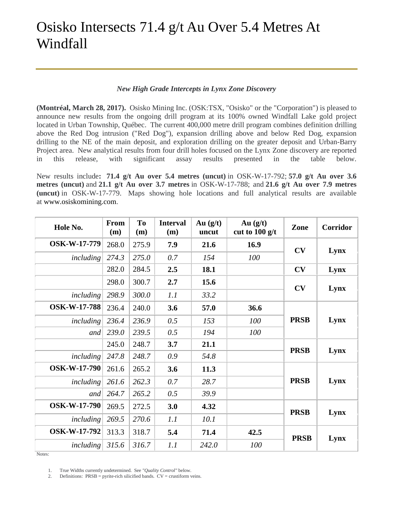## Osisko Intersects 71.4 g/t Au Over 5.4 Metres At Windfall

## *New High Grade Intercepts in Lynx Zone Discovery*

**(Montréal, March 28, 2017).** Osisko Mining Inc. (OSK:TSX, "Osisko" or the "Corporation") is pleased to announce new results from the ongoing drill program at its 100% owned Windfall Lake gold project located in Urban Township, Québec. The current 400,000 metre drill program combines definition drilling above the Red Dog intrusion ("Red Dog"), expansion drilling above and below Red Dog, expansion drilling to the NE of the main deposit, and exploration drilling on the greater deposit and Urban-Barry Project area. New analytical results from four drill holes focused on the Lynx Zone discovery are reported in this release, with significant assay results presented in the table below.

New results include**: 71.4 g/t Au over 5.4 metres (uncut)** in OSK-W-17-792; **57.0 g/t Au over 3.6 metres (uncut)** and **21.1 g/t Au over 3.7 metres** in OSK-W-17-788; and **21.6 g/t Au over 7.9 metres (uncut)** in OSK-W-17-779. Maps showing hole locations and full analytical results are available at [www.osiskomining.com.](http://www.osiskomining.com/)

| Hole No.            | From<br>(m) | T <sub>0</sub><br>(m) | <b>Interval</b><br>(m) | Au $(g/t)$<br>uncut | Au $(g/t)$<br>cut to $100$ g/t | Zone        | Corridor |
|---------------------|-------------|-----------------------|------------------------|---------------------|--------------------------------|-------------|----------|
| <b>OSK-W-17-779</b> | 268.0       | 275.9                 | 7.9                    | 21.6                | 16.9                           | CV          | Lynx     |
| including           | 274.3       | 275.0                 | 0.7                    | 154                 | 100                            |             |          |
|                     | 282.0       | 284.5                 | 2.5                    | 18.1                |                                | CV          | Lynx     |
|                     | 298.0       | 300.7                 | 2.7                    | 15.6                |                                | CV          | Lynx     |
| including           | 298.9       | 300.0                 | 1.1                    | 33.2                |                                |             |          |
| <b>OSK-W-17-788</b> | 236.4       | 240.0                 | 3.6                    | 57.0                | 36.6                           | <b>PRSB</b> | Lynx     |
| including           | 236.4       | 236.9                 | 0.5                    | 153                 | 100                            |             |          |
| and                 | 239.0       | 239.5                 | 0.5                    | 194                 | 100                            |             |          |
|                     | 245.0       | 248.7                 | 3.7                    | 21.1                |                                | <b>PRSB</b> | Lynx     |
| including           | 247.8       | 248.7                 | 0.9                    | 54.8                |                                |             |          |
| <b>OSK-W-17-790</b> | 261.6       | 265.2                 | 3.6                    | 11.3                |                                | <b>PRSB</b> | Lynx     |
| including           | 261.6       | 262.3                 | 0.7                    | 28.7                |                                |             |          |
| and                 | 264.7       | 265.2                 | 0.5                    | 39.9                |                                |             |          |
| <b>OSK-W-17-790</b> | 269.5       | 272.5                 | 3.0                    | 4.32                |                                | <b>PRSB</b> | Lynx     |
| including           | 269.5       | 270.6                 | 1.1                    | 10.1                |                                |             |          |
| <b>OSK-W-17-792</b> | 313.3       | 318.7                 | 5.4                    | 71.4                | 42.5                           | <b>PRSB</b> | Lynx     |
| including           | 315.6       | 316.7                 | 1.1                    | 242.0               | 100                            |             |          |

Notes:

<sup>1.</sup> True Widths currently undetermined. See *"Quality Control"* below.

<sup>2.</sup> Definitions:  $PRSB = pyrite-rich silicified bands$ .  $CV = crustiform$  *veins*.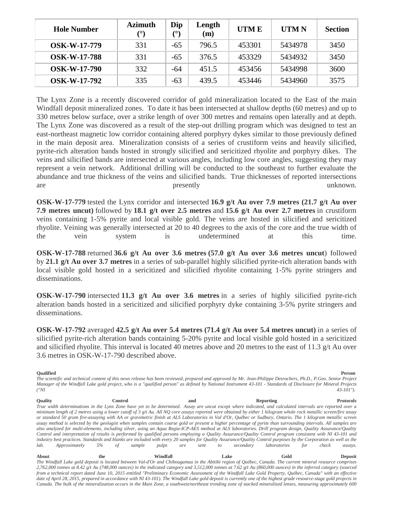| <b>Hole Number</b>  | <b>Azimuth</b><br>$(^\circ)$ | Dip<br>$\mathcal{L}^{\circ}$ | Length<br>$\mathbf{m}$ | <b>UTME</b> | <b>UTMN</b> | <b>Section</b> |
|---------------------|------------------------------|------------------------------|------------------------|-------------|-------------|----------------|
| <b>OSK-W-17-779</b> | 331                          | $-65$                        | 796.5                  | 453301      | 5434978     | 3450           |
| <b>OSK-W-17-788</b> | 331                          | $-65$                        | 376.5                  | 453329      | 5434932     | 3450           |
| <b>OSK-W-17-790</b> | 332                          | -64                          | 451.5                  | 453456      | 5434998     | 3600           |
| <b>OSK-W-17-792</b> | 335                          | $-63$                        | 439.5                  | 453446      | 5434960     | 3575           |

The Lynx Zone is a recently discovered corridor of gold mineralization located to the East of the main Windfall deposit mineralized zones. To date it has been intersected at shallow depths (60 metres) and up to 330 metres below surface, over a strike length of over 300 metres and remains open laterally and at depth. The Lynx Zone was discovered as a result of the step-out drilling program which was designed to test an east-northeast magnetic low corridor containing altered porphyry dykes similar to those previously defined in the main deposit area. Mineralization consists of a series of crustiform veins and heavily silicified, pyrite-rich alteration bands hosted in strongly silicified and sericitized rhyolite and porphyry dikes. The veins and silicified bands are intersected at various angles, including low core angles, suggesting they may represent a vein network. Additional drilling will be conducted to the southeast to further evaluate the abundance and true thickness of the veins and silicified bands. True thicknesses of reported intersections are presently presently unknown.

**OSK-W-17-779** tested the Lynx corridor and intersected **16.9 g/t Au over 7.9 metres (21.7 g/t Au over 7.9 metres uncut)** followed by **18.1 g/t over 2.5 metres** and **15.6 g/t Au over 2.7 metres** in crustiform veins containing 1-5% pyrite and local visible gold. The veins are hosted in silicified and sericitized rhyolite. Veining was generally intersected at 20 to 40 degrees to the axis of the core and the true width of the vein system is undetermined at this time.

**OSK-W-17-788** returned **36.6 g/t Au over 3.6 metres (57.0 g/t Au over 3.6 metres uncut**) followed by **21.1 g/t Au over 3.7 metres** in a series of sub-parallel highly silicified pyrite-rich alteration bands with local visible gold hosted in a sericitized and silicified rhyolite containing 1-5% pyrite stringers and disseminations.

**OSK-W-17-790** intersected **11.3 g/t Au over 3.6 metres** in a series of highly silicified pyrite-rich alteration bands hosted in a sericitized and silicified porphyry dyke containing 3-5% pyrite stringers and disseminations.

**OSK-W-17-792** averaged **42.5 g/t Au over 5.4 metres (71.4 g/t Au over 5.4 metres uncut)** in a series of silicified pyrite-rich alteration bands containing 5-20% pyrite and local visible gold hosted in a sericitized and silicified rhyolite. This interval is located 40 metres above and 20 metres to the east of 11.3 g/t Au over 3.6 metres in OSK-W-17-790 described above.

**Qualified Person** *The scientific and technical content of this news release has been reviewed, prepared and approved by Mr. Jean-Philippe Desrochers, Ph.D., P.Geo. Senior Project Manager of the Windfall Lake gold project, who is a "qualified person" as defined by National Instrument 43-101 - Standards of Disclosure for Mineral Projects ("NI 43-101").*

**Quality Control and Reporting Protocols** *True width determinations in the Lynx Zone have yet to be determined. Assay are uncut except where indicated, and calculated intervals are reported over a minimum length of 2 metres using a lower cutoff of 3 g/t Au. All NQ core assays reported were obtained by either 1 kilogram whole rock metallic screen/fire assay or standard 50 gram fire-assaying with AA or gravimetric finish at ALS Laboratories in Val d'Or, Québec or Sudbury, Ontario. The 1 kilogram metallic screen assay method is selected by the geologist when samples contain coarse gold or present a higher percentage of pyrite than surrounding intervals. All samples are also analyzed for multi-elements, including silver, using an Aqua Regia-ICP-AES method at ALS laboratories. Drill program design, Quality Assurance/Quality Control and interpretation of results is performed by qualified persons employing a Quality Assurance/Quality Control program consistent with NI 43-101 and industry best practices. Standards and blanks are included with every 20 samples for Quality Assurance/Quality Control purposes by the Corporation as well as the lab. Approximately 5% of sample pulps are sent to secondary laboratories for check assays.*

**About the Windfall Lake Gold Deposit** *The Windfall Lake gold deposit is located between Val-d'Or and Chibougamau in the Abitibi region of Québec, Canada. The current mineral resource comprises 2,762,000 tonnes at 8.42 g/t Au (748,000 ounces) in the indicated category and 3,512,000 tonnes at 7.62 g/t Au (860,000 ounces) in the inferred category (sourced from a technical report dated June 10, 2015 entitled "Preliminary Economic Assessment of the Windfall Lake Gold Property, Québec, Canada" with an effective date of April 28, 2015, prepared in accordance with NI 43-101). The Windfall Lake gold deposit is currently one of the highest grade resource-stage gold projects in Canada. The bulk of the mineralization occurs in the Main Zone, a southwest/northeast trending zone of stacked mineralized lenses, measuring approximately 600*